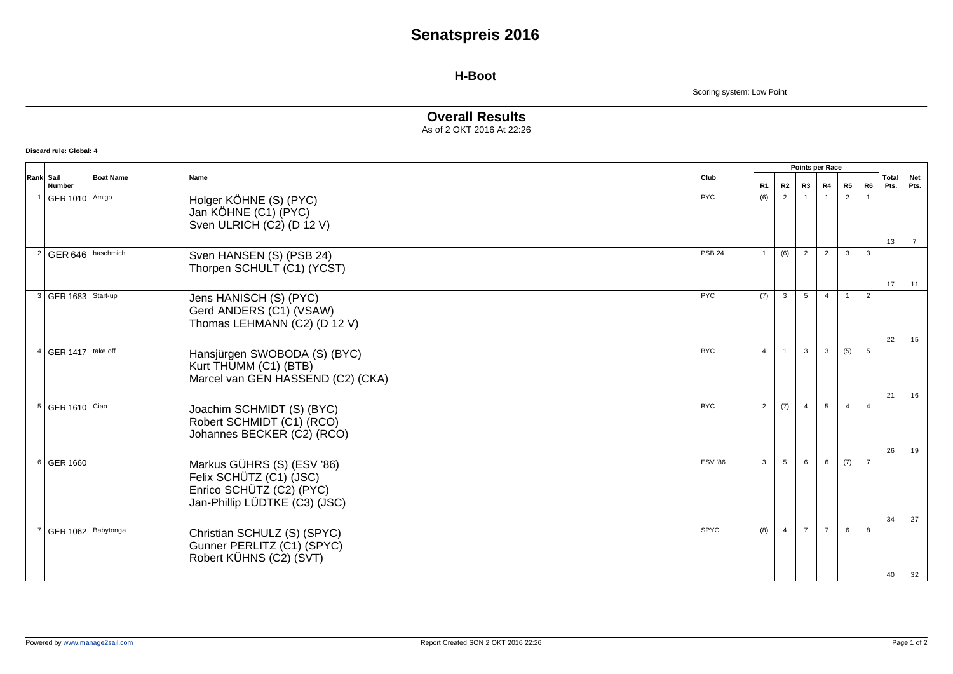# **Senatspreis 2016**

### **H-Boot**

Scoring system: Low Point

#### **Overall Results** As of 2 OKT 2016 At 22:26

**Discard rule: Global: 4**

|           | <b>Number</b>           | <b>Boat Name</b> | Name                                                                                                               | Club           |                |                 | Points per Race |                |                |                         |               |                    |
|-----------|-------------------------|------------------|--------------------------------------------------------------------------------------------------------------------|----------------|----------------|-----------------|-----------------|----------------|----------------|-------------------------|---------------|--------------------|
| Rank Sail |                         |                  |                                                                                                                    |                | R1             | <b>R2</b>       | R <sub>3</sub>  | R4             | R5             | R6                      | Total<br>Pts. | <b>Net</b><br>Pts. |
|           | GER 1010 Amigo          |                  | Holger KÖHNE (S) (PYC)<br>Jan KÖHNE (C1) (PYC)<br>Sven ULRICH (C2) (D 12 V)                                        | <b>PYC</b>     | (6)            | $\overline{2}$  |                 |                | 2              |                         | 13            | $\overline{7}$     |
|           | GER 646                 | haschmich        | Sven HANSEN (S) (PSB 24)<br>Thorpen SCHULT (C1) (YCST)                                                             | <b>PSB 24</b>  | $\mathbf{1}$   | (6)             | 2               | 2              | $\mathbf{3}$   | $\overline{\mathbf{3}}$ | 17            | 11                 |
|           | 3   GER 1683   Start-up |                  | Jens HANISCH (S) (PYC)<br>Gerd ANDERS (C1) (VSAW)<br>Thomas LEHMANN (C2) (D 12 V)                                  | PYC            | (7)            | $\mathbf{3}$    | 5               | $\overline{4}$ | $\overline{1}$ | 2                       | 22            | 15                 |
|           | GER 1417   take off     |                  | Hansjürgen SWOBODA (S) (BYC)<br>Kurt THUMM (C1) (BTB)<br>Marcel van GEN HASSEND (C2) (CKA)                         | <b>BYC</b>     | $\overline{4}$ | $\mathbf{1}$    | $\mathbf{3}$    | $\mathbf{3}$   | (5)            | 5                       | 21            | 16                 |
|           | 5   GER 1610   Ciao     |                  | Joachim SCHMIDT (S) (BYC)<br>Robert SCHMIDT (C1) (RCO)<br>Johannes BECKER (C2) (RCO)                               | <b>BYC</b>     | 2              | (7)             | $\overline{4}$  | $5^{\circ}$    | $\overline{4}$ | $\overline{4}$          | 26            | 19                 |
|           | 6 GER 1660              |                  | Markus GÜHRS (S) (ESV '86)<br>Felix SCHÜTZ (C1) (JSC)<br>Enrico SCHÜTZ (C2) (PYC)<br>Jan-Phillip LÜDTKE (C3) (JSC) | <b>ESV '86</b> | $\mathbf{3}$   | $5\overline{5}$ | 6               | 6              | (7)            | $\overline{7}$          | 34            | 27                 |
|           | GER 1062 Babytonga      |                  | Christian SCHULZ (S) (SPYC)<br>Gunner PERLITZ (C1) (SPYC)<br>Robert KÜHNS (C2) (SVT)                               | SPYC           | (8)            | $\overline{4}$  | $\overline{7}$  | $\overline{7}$ | 6              | -8                      | 40            | 32                 |